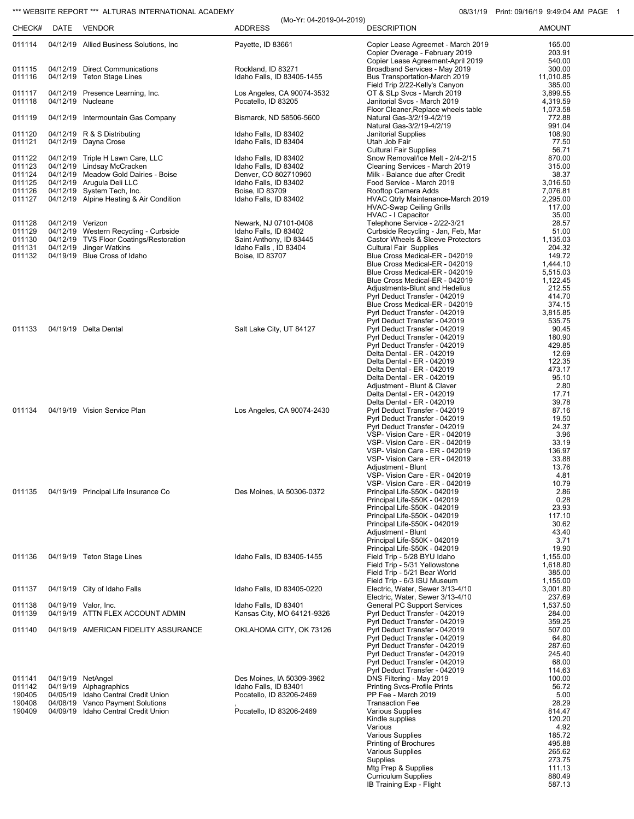## \*\*\* WEBSITE REPORT \*\*\* ALTURAS INTERNATIONAL ACADEMY **CONSUMENT CONSUMING THE CONSUMING OB**/31/19 Print: 09/16/19 9:49:04 AM PAGE 1

| CHECK#                                                   | DATE             | <b>VENDOR</b>                                                                                                                                                                                                | (Mo-Yr: 04-2019-04-2019)<br><b>ADDRESS</b>                                                                                                  | <b>DESCRIPTION</b>                                                                                                                                                                                                                                                                                                                                                                     | <b>AMOUNT</b>                                                                                                                                |
|----------------------------------------------------------|------------------|--------------------------------------------------------------------------------------------------------------------------------------------------------------------------------------------------------------|---------------------------------------------------------------------------------------------------------------------------------------------|----------------------------------------------------------------------------------------------------------------------------------------------------------------------------------------------------------------------------------------------------------------------------------------------------------------------------------------------------------------------------------------|----------------------------------------------------------------------------------------------------------------------------------------------|
| 011114                                                   |                  | 04/12/19 Allied Business Solutions, Inc.                                                                                                                                                                     | Payette, ID 83661                                                                                                                           | Copier Lease Agreemet - March 2019<br>Copier Overage - February 2019                                                                                                                                                                                                                                                                                                                   | 165.00<br>203.91                                                                                                                             |
| 011115<br>011116                                         |                  | 04/12/19 Direct Communications<br>04/12/19 Teton Stage Lines                                                                                                                                                 | Rockland, ID 83271<br>Idaho Falls, ID 83405-1455                                                                                            | Copier Lease Agreement-April 2019<br>Broadband Services - May 2019<br>Bus Transportation-March 2019                                                                                                                                                                                                                                                                                    | 540.00<br>300.00<br>11,010.85                                                                                                                |
| 011117<br>011118                                         |                  | 04/12/19 Presence Learning, Inc.<br>04/12/19 Nucleane                                                                                                                                                        | Los Angeles, CA 90074-3532<br>Pocatello, ID 83205                                                                                           | Field Trip 2/22-Kelly's Canyon<br>OT & SLp Svcs - March 2019<br>Janitorial Svcs - March 2019                                                                                                                                                                                                                                                                                           | 385.00<br>3,899.55<br>4,319.59                                                                                                               |
| 011119                                                   |                  | 04/12/19 Intermountain Gas Company                                                                                                                                                                           | Bismarck, ND 58506-5600                                                                                                                     | Floor Cleaner, Replace wheels table<br>Natural Gas-3/2/19-4/2/19<br>Natural Gas-3/2/19-4/2/19                                                                                                                                                                                                                                                                                          | 1,073.58<br>772.88<br>991.04                                                                                                                 |
| 011120<br>011121                                         |                  | 04/12/19 R & S Distributing<br>04/12/19 Dayna Crose                                                                                                                                                          | Idaho Falls, ID 83402<br>Idaho Falls, ID 83404                                                                                              | <b>Janitorial Supplies</b><br>Utah Job Fair                                                                                                                                                                                                                                                                                                                                            | 108.90<br>77.50                                                                                                                              |
| 011122<br>011123<br>011124<br>011125<br>011126<br>011127 |                  | 04/12/19 Triple H Lawn Care, LLC<br>04/12/19 Lindsay McCracken<br>04/12/19 Meadow Gold Dairies - Boise<br>04/12/19 Arugula Deli LLC<br>04/12/19 System Tech, Inc.<br>04/12/19 Alpine Heating & Air Condition | Idaho Falls, ID 83402<br>Idaho Falls, ID 83402<br>Denver, CO 802710960<br>Idaho Falls, ID 83402<br>Boise, ID 83709<br>Idaho Falls, ID 83402 | <b>Cultural Fair Supplies</b><br>Snow Removal/Ice Melt - 2/4-2/15<br>Cleaning Services - March 2019<br>Milk - Balance due after Credit<br>Food Service - March 2019<br>Rooftop Camera Adds<br>HVAC Qtrly Maintenance-March 2019<br><b>HVAC-Swap Ceiling Grills</b>                                                                                                                     | 56.71<br>870.00<br>315.00<br>38.37<br>3,016.50<br>7,076.81<br>2,295.00<br>117.00                                                             |
| 011128<br>011129<br>011130<br>011131<br>011132           | 04/12/19 Verizon | 04/12/19 Western Recycling - Curbside<br>04/12/19 TVS Floor Coatings/Restoration<br>04/12/19 Jinger Watkins<br>04/19/19 Blue Cross of Idaho                                                                  | Newark, NJ 07101-0408<br>Idaho Falls, ID 83402<br>Saint Anthony, ID 83445<br>Idaho Falls, ID 83404<br>Boise, ID 83707                       | HVAC - I Capacitor<br>Telephone Service - 2/22-3/21<br>Curbside Recycling - Jan, Feb, Mar<br>Castor Wheels & Sleeve Protectors<br><b>Cultural Fair Supplies</b><br>Blue Cross Medical-ER - 042019<br>Blue Cross Medical-ER - 042019<br>Blue Cross Medical-ER - 042019<br>Blue Cross Medical-ER - 042019<br>Adjustments-Blunt and Hedelius                                              | 35.00<br>28.57<br>51.00<br>1,135.03<br>204.32<br>149.72<br>1,444.10<br>5,515.03<br>1,122.45<br>212.55                                        |
| 011133                                                   |                  | 04/19/19 Delta Dental                                                                                                                                                                                        | Salt Lake City, UT 84127                                                                                                                    | Pyrl Deduct Transfer - 042019<br>Blue Cross Medical-ER - 042019<br>Pyrl Deduct Transfer - 042019<br>Pyrl Deduct Transfer - 042019<br>Pyrl Deduct Transfer - 042019<br>Pyrl Deduct Transfer - 042019<br>Pyrl Deduct Transfer - 042019<br>Delta Dental - ER - 042019<br>Delta Dental - ER - 042019<br>Delta Dental - ER - 042019                                                         | 414.70<br>374.15<br>3,815.85<br>535.75<br>90.45<br>180.90<br>429.85<br>12.69<br>122.35<br>473.17                                             |
| 011134                                                   |                  | 04/19/19 Vision Service Plan                                                                                                                                                                                 | Los Angeles, CA 90074-2430                                                                                                                  | Delta Dental - ER - 042019<br>Adjustment - Blunt & Claver<br>Delta Dental - ER - 042019<br>Delta Dental - ER - 042019<br>Pyrl Deduct Transfer - 042019<br>Pyrl Deduct Transfer - 042019<br>Pyrl Deduct Transfer - 042019<br>VSP- Vision Care - ER - 042019<br>VSP- Vision Care - ER - 042019<br>VSP- Vision Care - ER - 042019                                                         | 95.10<br>2.80<br>17.71<br>39.78<br>87.16<br>19.50<br>24.37<br>3.96<br>33.19<br>136.97                                                        |
| 011135                                                   |                  | 04/19/19 Principal Life Insurance Co                                                                                                                                                                         | Des Moines, IA 50306-0372                                                                                                                   | VSP- Vision Care - ER - 042019<br>Adjustment - Blunt<br>VSP- Vision Care - ER - 042019<br>VSP- Vision Care - ER - 042019<br>Principal Life-\$50K - 042019<br>Principal Life-\$50K - 042019<br>Principal Life-\$50K - 042019<br>Principal Life-\$50K - 042019<br>Principal Life-\$50K - 042019<br>Adjustment - Blunt<br>Principal Life-\$50K - 042019                                   | 33.88<br>13.76<br>4.81<br>10.79<br>2.86<br>0.28<br>23.93<br>117.10<br>30.62<br>43.40<br>3.71                                                 |
| 011136                                                   |                  | 04/19/19 Teton Stage Lines                                                                                                                                                                                   | Idaho Falls, ID 83405-1455                                                                                                                  | Principal Life-\$50K - 042019<br>Field Trip - 5/28 BYU Idaho<br>Field Trip - 5/31 Yellowstone<br>Field Trip - 5/21 Bear World                                                                                                                                                                                                                                                          | 19.90<br>1,155.00<br>1,618.80<br>385.00                                                                                                      |
| 011137                                                   |                  | 04/19/19 City of Idaho Falls                                                                                                                                                                                 | Idaho Falls, ID 83405-0220                                                                                                                  | Field Trip - 6/3 ISU Museum<br>Electric, Water, Sewer 3/13-4/10<br>Electric, Water, Sewer 3/13-4/10                                                                                                                                                                                                                                                                                    | 1,155.00<br>3,001.80<br>237.69                                                                                                               |
| 011138<br>011139                                         |                  | 04/19/19 Valor, Inc.<br>04/19/19 ATTN FLEX ACCOUNT ADMIN                                                                                                                                                     | Idaho Falls, ID 83401<br>Kansas City, MO 64121-9326                                                                                         | <b>General PC Support Services</b><br>Pyrl Deduct Transfer - 042019                                                                                                                                                                                                                                                                                                                    | 1,537.50<br>284.00                                                                                                                           |
| 011140                                                   |                  | 04/19/19 AMERICAN FIDELITY ASSURANCE                                                                                                                                                                         | OKLAHOMA CITY, OK 73126                                                                                                                     | Pyrl Deduct Transfer - 042019<br>Pyrl Deduct Transfer - 042019<br>Pyrl Deduct Transfer - 042019<br>Pyrl Deduct Transfer - 042019<br>Pyrl Deduct Transfer - 042019<br>Pyrl Deduct Transfer - 042019                                                                                                                                                                                     | 359.25<br>507.00<br>64.80<br>287.60<br>245.40<br>68.00                                                                                       |
| 011141<br>011142<br>190405<br>190408<br>190409           |                  | 04/19/19 NetAngel<br>04/19/19 Alphagraphics<br>04/05/19 Idaho Central Credit Union<br>04/08/19 Vanco Payment Solutions<br>04/09/19 Idaho Central Credit Union                                                | Des Moines, IA 50309-3962<br>Idaho Falls, ID 83401<br>Pocatello, ID 83206-2469<br>Pocatello, ID 83206-2469                                  | Pyrl Deduct Transfer - 042019<br>DNS Filtering - May 2019<br><b>Printing Svcs-Profile Prints</b><br>PP Fee - March 2019<br><b>Transaction Fee</b><br><b>Various Supplies</b><br>Kindle supplies<br>Various<br><b>Various Supplies</b><br>Printing of Brochures<br><b>Various Supplies</b><br>Supplies<br>Mtg Prep & Supplies<br><b>Curriculum Supplies</b><br>IB Training Exp - Flight | 114.63<br>100.00<br>56.72<br>5.00<br>28.29<br>814.47<br>120.20<br>4.92<br>185.72<br>495.88<br>265.62<br>273.75<br>111.13<br>880.49<br>587.13 |